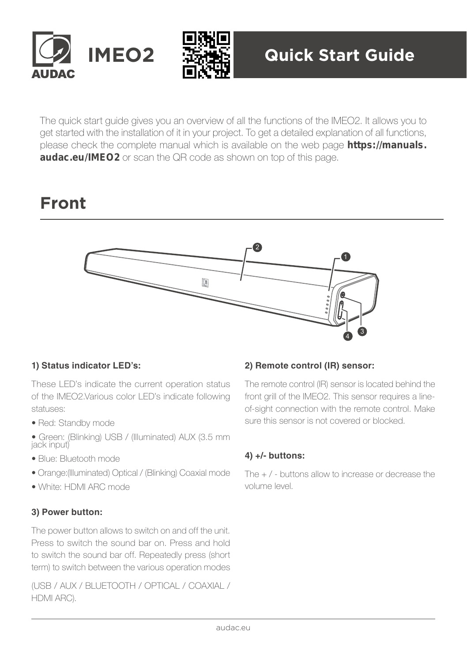



The quick start guide gives you an overview of all the functions of the IMEO2. It allows you to get started with the installation of it in your project. To get a detailed explanation of all functions, please check the complete manual which is available on the web page **https://manuals. audac.eu/IMEO2** or scan the QR code as shown on top of this page.

# **Front**



# **1) Status indicator LED's:**

These LED's indicate the current operation status of the IMEO2.Various color LED's indicate following statuses:

- Red: Standby mode
- Green: (Blinking) USB / (Illuminated) AUX (3.5 mm jack input)
- Blue: Bluetooth mode
- Orange:(Illuminated) Optical / (Blinking) Coaxial mode
- White: HDMI ARC mode

# **3) Power button:**

The power button allows to switch on and off the unit. Press to switch the sound bar on. Press and hold to switch the sound bar off. Repeatedly press (short term) to switch between the various operation modes

(USB / AUX / BLUETOOTH / OPTICAL / COAXIAL / HDMI ARC).

#### **2) Remote control (IR) sensor:**

The remote control (IR) sensor is located behind the front grill of the IMEO2. This sensor requires a lineof-sight connection with the remote control. Make sure this sensor is not covered or blocked.

# **4) +/- buttons:**

The + / - buttons allow to increase or decrease the volume level.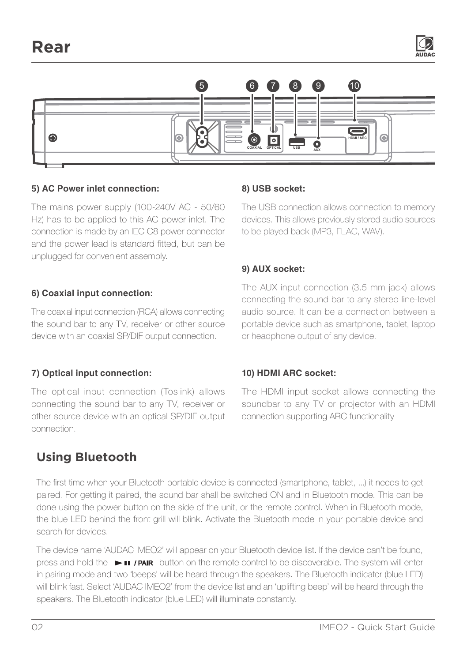

#### **5) AC Power inlet connection:**

The mains power supply (100-240V AC - 50/60 Hz) has to be applied to this AC power inlet. The connection is made by an IEC C8 power connector and the power lead is standard fitted, but can be unplugged for convenient assembly.

#### **6) Coaxial input connection:**

The coaxial input connection (RCA) allows connecting the sound bar to any TV, receiver or other source device with an coaxial SP/DIF output connection.

# **7) Optical input connection:**

The optical input connection (Toslink) allows connecting the sound bar to any TV, receiver or other source device with an optical SP/DIF output connection.

# **Using Bluetooth**

# **8) USB socket:**

The USB connection allows connection to memory devices. This allows previously stored audio sources to be played back (MP3, FLAC, WAV).

# **9) AUX socket:**

The AUX input connection (3.5 mm jack) allows connecting the sound bar to any stereo line-level audio source. It can be a connection between a portable device such as smartphone, tablet, laptop or headphone output of any device.

# **10) HDMI ARC socket:**

The HDMI input socket allows connecting the soundbar to any TV or projector with an HDMI connection supporting ARC functionality

The first time when your Bluetooth portable device is connected (smartphone, tablet, ...) it needs to get paired. For getting it paired, the sound bar shall be switched ON and in Bluetooth mode. This can be done using the power button on the side of the unit, or the remote control. When in Bluetooth mode, the blue LED behind the front grill will blink. Activate the Bluetooth mode in your portable device and search for devices.

The device name 'AUDAC IMEO2' will appear on your Bluetooth device list. If the device can't be found, press and hold the  $\longrightarrow$  II /PAIR button on the remote control to be discoverable. The system will enter in pairing mode and two 'beeps' will be heard through the speakers. The Bluetooth indicator (blue LED) will blink fast. Select 'AUDAC IMEO2' from the device list and an 'uplifting beep' will be heard through the speakers. The Bluetooth indicator (blue LED) will illuminate constantly.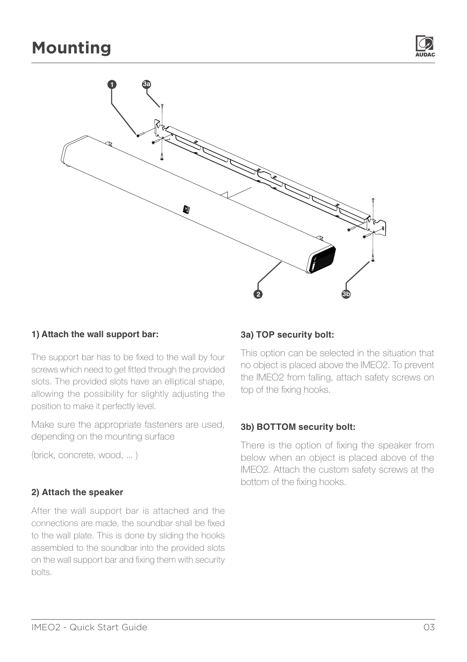

### **1) Attach the wall support bar:**

The support bar has to be fixed to the wall by four screws which need to get fitted through the provided slots. The provided slots have an elliptical shape, allowing the possibility for slightly adjusting the position to make it perfectly level.

Make sure the appropriate fasteners are used, depending on the mounting surface

(brick, concrete, wood, ... )

# **2) Attach the speaker**

After the wall support bar is attached and the connections are made, the soundbar shall be fixed to the wall plate. This is done by sliding the hooks assembled to the soundbar into the provided slots on the wall support bar and fixing them with security bolts.

#### **3a) TOP security bolt:**

This option can be selected in the situation that no object is placed above the IMEO2. To prevent the IMEO2 from falling, attach safety screws on top of the fixing hooks.

#### **3b) BOTTOM security bolt:**

There is the option of fixing the speaker from below when an object is placed above of the IMEO2. Attach the custom safety screws at the bottom of the fixing hooks.